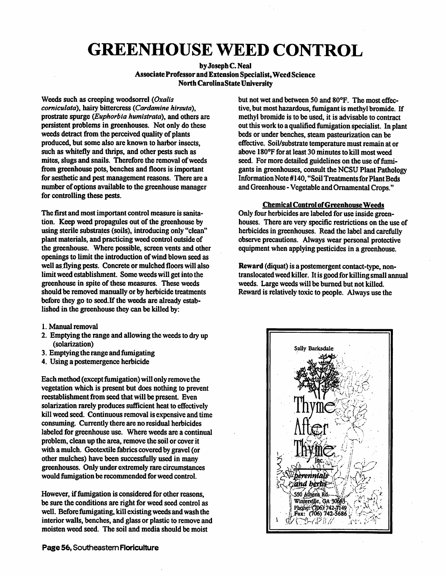## *GREENHOUSE WEED CONTROL*

## **by Joseph C. Neal** *AssociateProfessor and Extension Specialist,Weed Science North CarolinaState University*

*Weeds such as creeping woodsorrel (Oxalis corniculata\ hairy bittercress (Cardamine hirsuta), prostrate spurge (Euphorbia humistrata), and others are persistent problems in greenhouses. Not only do these weeds detract from the perceived quality of plants produced, but some also are known to harbor insects, such as whitefly and thrips, and other pests such as mites, slugs and snails. Therefore the removal ofweeds from greenhouse pots, benches and floors is important for aesthetic and pest management reasons. There area number* of options available to the greenhouse manager *for controlling these pests.*

*The first and most important control measure is sanita tion. Keep weed propagules out ofthe greenhouse by using sterile substrates (soils), introducing only "clean" plant materials, and practicing weed control outside of the greenhouse. Where possible, screen vents and other openings to limit the introduction ofwind blown seed as well as flying pests. Concrete or mulched floors will also limit weed establishment. Some weeds will get into the greenhouse in spite ofthese measures. These weeds should be removed manually or by herbicide treatments before they go to seed.If the weeds are already estab lished in the greenhouse they can be killed by:*

- *1. Manual removal*
- *2. Emptying the range and allowing the weeds to dry up (solarization)*
- *3. Emptying the range and fumigating*
- *4. Using a postemergence herbicide*

*Eachmethod (except fumigation) will only removethe vegetation which is present but does nothing to prevent reestablishment from seed that will be present. Even* solarization rarely produces sufficient heat to effectively *kill weed seed. Continuous removal is expensive and time consuming. Currently there are no residual herbicides labeled for greenhouse use. Where weeds are a continual* problem, clean up the *area*, remove the soil or cover it with a mulch. Geotextile fabrics covered by gravel (or *other mulches) have been successfully used in many greenhouses. Only under extremely rarecircumstances would fumigation be recommended for weed control.*

*However, iffumigation is considered for other reasons, be sure the conditions are right for weed seed control as well. Before fumigating, kill existingweeds and wash the interior walls, benches, and glass or plastic to remove and moisten weed seed. The soil and media should be moist*

*but not wet and between 50 and 80°F. The most effec tive, but most hazardous, fumigant is methyl bromide. If methyl bromide is to be used, it is advisable to contract outthis workto aqualifiedfumigation specialist. In plant beds or under benches, steam pasteurization can be* effective. Soil/substrate temperature must remain at or *above 180°F for at least 30 minutesto kill most weed* seed. For more detailed guidelines on the use of fumi*gants in greenhouses, consultthe NCSU PlantPathology InformationNote #140, "Soil Treatments for Plant Beds andGreenhouse -VegetableandOrnamentalCrops."*

## *ChemicalControl ofGreenhouseWeeds*

Only four herbicides are labeled for use inside green*houses. There are very specific restrictions on the use of herbicides in greenhouses.* Read the label and carefully *observe precautions. Always wear personal protective equipment when applyingpesticides in a greenhouse.*

Reward (diquat) is a postemergent contact-type, non*translocatedweed killer. It is goodfor killing small annual weeds. Large weeds will be burned but not killed.* Reward is relatively toxic to people. Always use the

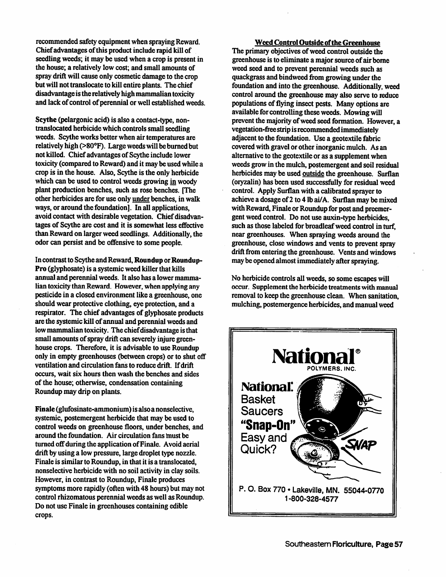recommended safety equipment when spraying Reward. Chief advantages of this product include rapid kill of seedling weeds; it may be used when a crop is present in the house; a relatively low cost; and small amounts of spray drift will cause only cosmetic damage to the crop but will not translocate to kill entire plants. The chief disadvantage is the relatively high mammalian toxicity and lack of control of perennial or well established weeds.

Scythe (pelargonic acid) is also a contact-type, nontranslocated herbicide which controls small seedling weeds. Scythe works better when air temperatures are relativelyhigh (>80°F). Large weedswill beburned but not killed. Chief advantages of Scythe include lower toxicity (compared to Reward) and it may be used while a crop is in the house. Also, Scythe is the only herbicide which can be used to control weeds growing in woody plant production benches, such as rose benches. [The other herbicides are for use only under benches, in walk ways, or around the foundation]. In all applications, avoid contact with desirable vegetation. Chief disadvantages of Scythe are cost and it is somewhat less effective than Reward on larger weed seedlings. Additionally, the odor can persist and be offensive to some people.

In contrast to Scytheand Reward, *Roundup* or*Roundup-***Pro** (glyphosate) is a systemic weed killer that kills annual and perennial weeds. It also has a lower mamma lian toxicity than Reward. However, when applying any pesticide in a closed environment like a greenhouse, one should wear protective clothing, eye protection, and a respirator. The chief advantages of glyphosate products are the systemic kill of annual and perennial weeds and lowmammalian toxicity. The chiefdisadvantage isthat small amounts of spray drift can severely injure greenhouse crops. Therefore, it is advisable to use Roundup only in empty greenhouses (between crops) or to shut off ventilation and circulation fans to reduce drift. Ifdrift occurs, wait six hours then wash the benches and sides of the house; otherwise, condensation containing Roundup may drip on plants.

Finale (glufosinate-ammonium) is also a nonselective, systemic, postemergent herbicide that may be used to control weeds on greenhouse floors, under benches, and around the foundation. Air circulation fans must be turned off during the application of Finale. Avoid aerial drift by using a low pressure, large droplet type nozzle. Finale is similar to Roundup, in that it is a translocated, nonselective herbicide with no soil activity in clay soils. However, in contrast to Roundup, Finale produces symptoms more rapidly (often with 48 hours) but may not control rhizomatous perennial weeds as well as Roundup. Do not use Finale in greenhouses containing edible crops.

*Weed Control Outside oftheGreenhouse* The primary objectives of weed control outside the greenhouse is to eliminate a major source of air borne weed seed and to prevent perennial weeds such as quackgrass and bindweed from growing under the foundation and into the greenhouse. Additionally, weed control around the greenhouse may also serve to reduce populations of flying insect pests. Many options are available for controlling these weeds. Mowing will prevent the majority of weed seed formation. However, a vegetation-freestrip isrecommendedimmediately adjacent to the foundation. Use a geotextile fabric covered with gravel or other inorganic mulch. As an alternative to the geotextile or as a supplement when weeds grow in the mulch, postemergent and soil residual herbicides may be used outside the greenhouse. Surflan (oryzalin) has been used successfully for residual weed control. Apply Surflan with a calibrated sprayer to achieve a dosage of 2 to 4 lb ai/A. Surflan may be mixed with Reward, Finale or Roundup for post and preemergent weed control. Do not use auxin-type herbicides, such as those labeled for broadleaf weed control in turf. near greenhouses. When spraying weeds around the greenhouse, close windows and vents to prevent spray drift from entering the greenhouse. Vents and windows may be opened almost immediately after spraying.

No herbicide controls all weeds, so some escapes will occur. Supplement the herbicide treatments with manual removal to keep the greenhouse clean. When sanitation, mulching, postemergence herbicides, and manual weed